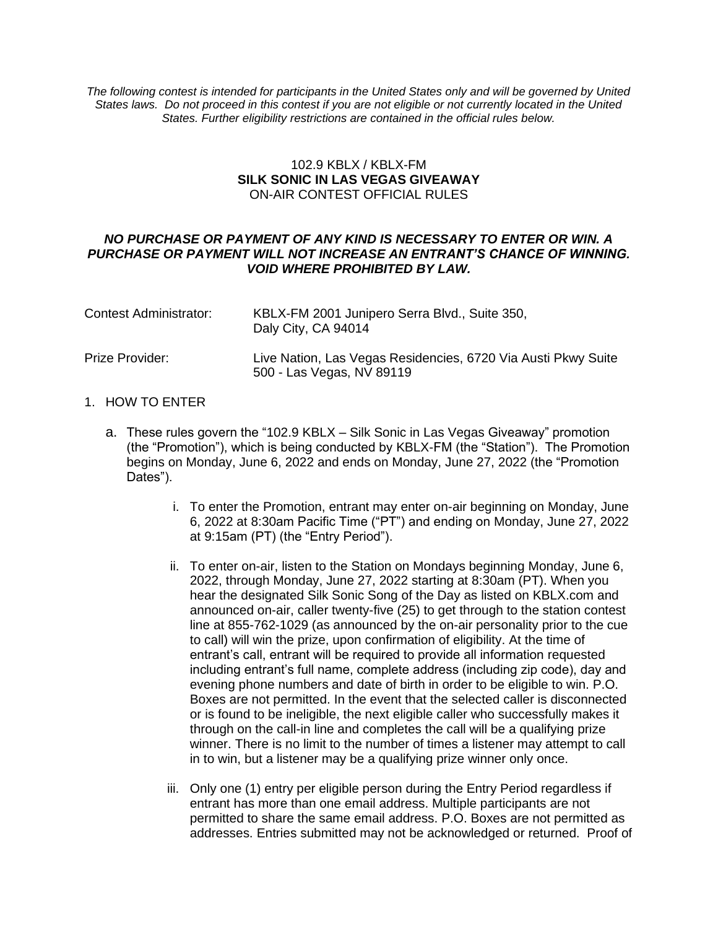*The following contest is intended for participants in the United States only and will be governed by United States laws. Do not proceed in this contest if you are not eligible or not currently located in the United States. Further eligibility restrictions are contained in the official rules below.*

## 102.9 KBLX / KBLX-FM **SILK SONIC IN LAS VEGAS GIVEAWAY** ON-AIR CONTEST OFFICIAL RULES

### *NO PURCHASE OR PAYMENT OF ANY KIND IS NECESSARY TO ENTER OR WIN. A PURCHASE OR PAYMENT WILL NOT INCREASE AN ENTRANT'S CHANCE OF WINNING. VOID WHERE PROHIBITED BY LAW.*

| <b>Contest Administrator:</b> | KBLX-FM 2001 Junipero Serra Blvd., Suite 350,<br>Daly City, CA 94014                       |
|-------------------------------|--------------------------------------------------------------------------------------------|
| Prize Provider:               | Live Nation, Las Vegas Residencies, 6720 Via Austi Pkwy Suite<br>500 - Las Vegas, NV 89119 |

## 1. HOW TO ENTER

- a. These rules govern the "102.9 KBLX Silk Sonic in Las Vegas Giveaway" promotion (the "Promotion"), which is being conducted by KBLX-FM (the "Station"). The Promotion begins on Monday, June 6, 2022 and ends on Monday, June 27, 2022 (the "Promotion Dates").
	- i. To enter the Promotion, entrant may enter on-air beginning on Monday, June 6, 2022 at 8:30am Pacific Time ("PT") and ending on Monday, June 27, 2022 at 9:15am (PT) (the "Entry Period").
	- ii. To enter on-air, listen to the Station on Mondays beginning Monday, June 6, 2022, through Monday, June 27, 2022 starting at 8:30am (PT). When you hear the designated Silk Sonic Song of the Day as listed on KBLX.com and announced on-air, caller twenty-five (25) to get through to the station contest line at 855-762-1029 (as announced by the on-air personality prior to the cue to call) will win the prize, upon confirmation of eligibility. At the time of entrant's call, entrant will be required to provide all information requested including entrant's full name, complete address (including zip code), day and evening phone numbers and date of birth in order to be eligible to win. P.O. Boxes are not permitted. In the event that the selected caller is disconnected or is found to be ineligible, the next eligible caller who successfully makes it through on the call-in line and completes the call will be a qualifying prize winner. There is no limit to the number of times a listener may attempt to call in to win, but a listener may be a qualifying prize winner only once.
	- iii. Only one (1) entry per eligible person during the Entry Period regardless if entrant has more than one email address. Multiple participants are not permitted to share the same email address. P.O. Boxes are not permitted as addresses. Entries submitted may not be acknowledged or returned. Proof of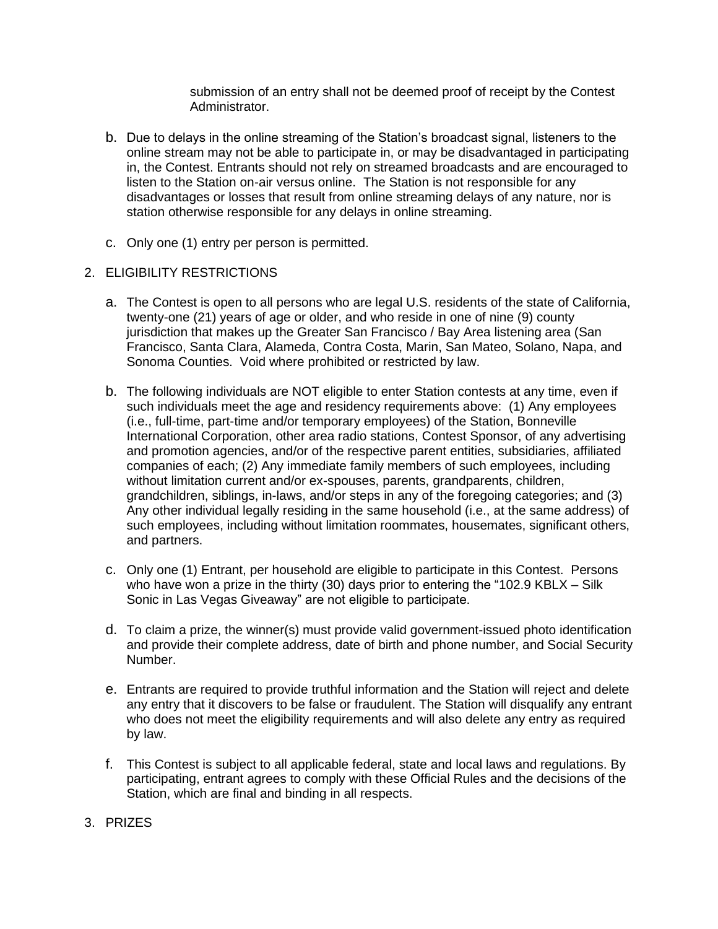submission of an entry shall not be deemed proof of receipt by the Contest Administrator.

- b. Due to delays in the online streaming of the Station's broadcast signal, listeners to the online stream may not be able to participate in, or may be disadvantaged in participating in, the Contest. Entrants should not rely on streamed broadcasts and are encouraged to listen to the Station on-air versus online. The Station is not responsible for any disadvantages or losses that result from online streaming delays of any nature, nor is station otherwise responsible for any delays in online streaming.
- c. Only one (1) entry per person is permitted.
- 2. ELIGIBILITY RESTRICTIONS
	- a. The Contest is open to all persons who are legal U.S. residents of the state of California, twenty-one (21) years of age or older, and who reside in one of nine (9) county jurisdiction that makes up the Greater San Francisco / Bay Area listening area (San Francisco, Santa Clara, Alameda, Contra Costa, Marin, San Mateo, Solano, Napa, and Sonoma Counties. Void where prohibited or restricted by law.
	- b. The following individuals are NOT eligible to enter Station contests at any time, even if such individuals meet the age and residency requirements above: (1) Any employees (i.e., full-time, part-time and/or temporary employees) of the Station, Bonneville International Corporation, other area radio stations, Contest Sponsor, of any advertising and promotion agencies, and/or of the respective parent entities, subsidiaries, affiliated companies of each; (2) Any immediate family members of such employees, including without limitation current and/or ex-spouses, parents, grandparents, children, grandchildren, siblings, in-laws, and/or steps in any of the foregoing categories; and (3) Any other individual legally residing in the same household (i.e., at the same address) of such employees, including without limitation roommates, housemates, significant others, and partners.
	- c. Only one (1) Entrant, per household are eligible to participate in this Contest. Persons who have won a prize in the thirty (30) days prior to entering the "102.9 KBLX – Silk Sonic in Las Vegas Giveaway" are not eligible to participate.
	- d. To claim a prize, the winner(s) must provide valid government-issued photo identification and provide their complete address, date of birth and phone number, and Social Security Number.
	- e. Entrants are required to provide truthful information and the Station will reject and delete any entry that it discovers to be false or fraudulent. The Station will disqualify any entrant who does not meet the eligibility requirements and will also delete any entry as required by law.
	- f. This Contest is subject to all applicable federal, state and local laws and regulations. By participating, entrant agrees to comply with these Official Rules and the decisions of the Station, which are final and binding in all respects.
- 3. PRIZES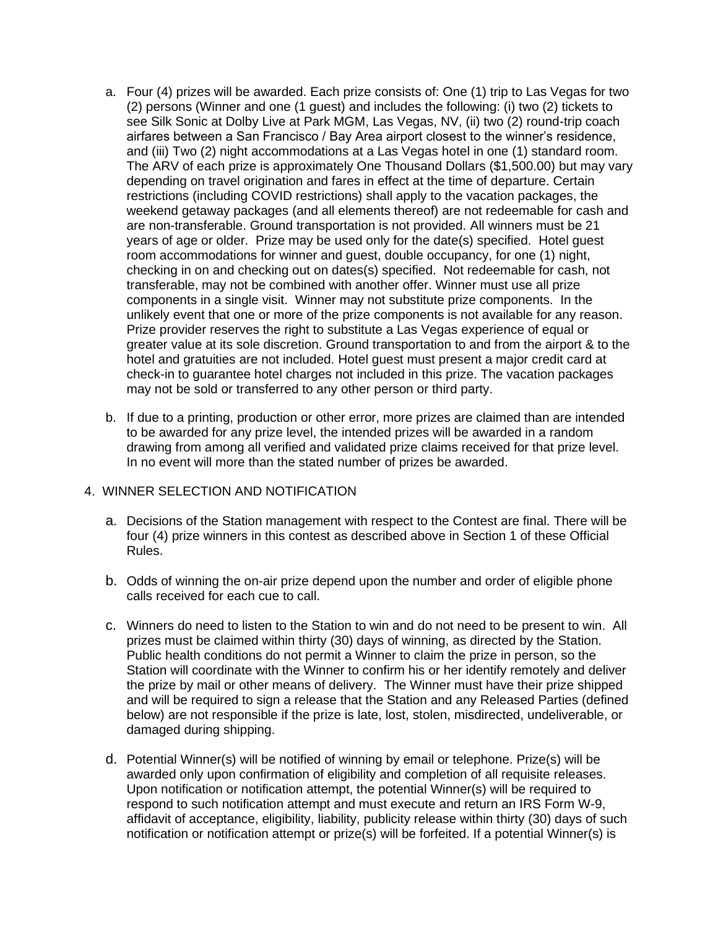- a. Four (4) prizes will be awarded. Each prize consists of: One (1) trip to Las Vegas for two (2) persons (Winner and one (1 guest) and includes the following: (i) two (2) tickets to see Silk Sonic at Dolby Live at Park MGM, Las Vegas, NV, (ii) two (2) round-trip coach airfares between a San Francisco / Bay Area airport closest to the winner's residence, and (iii) Two (2) night accommodations at a Las Vegas hotel in one (1) standard room. The ARV of each prize is approximately One Thousand Dollars (\$1,500.00) but may vary depending on travel origination and fares in effect at the time of departure. Certain restrictions (including COVID restrictions) shall apply to the vacation packages, the weekend getaway packages (and all elements thereof) are not redeemable for cash and are non-transferable. Ground transportation is not provided. All winners must be 21 years of age or older. Prize may be used only for the date(s) specified. Hotel guest room accommodations for winner and guest, double occupancy, for one (1) night, checking in on and checking out on dates(s) specified. Not redeemable for cash, not transferable, may not be combined with another offer. Winner must use all prize components in a single visit. Winner may not substitute prize components. In the unlikely event that one or more of the prize components is not available for any reason. Prize provider reserves the right to substitute a Las Vegas experience of equal or greater value at its sole discretion. Ground transportation to and from the airport & to the hotel and gratuities are not included. Hotel guest must present a major credit card at check-in to guarantee hotel charges not included in this prize. The vacation packages may not be sold or transferred to any other person or third party.
- b. If due to a printing, production or other error, more prizes are claimed than are intended to be awarded for any prize level, the intended prizes will be awarded in a random drawing from among all verified and validated prize claims received for that prize level. In no event will more than the stated number of prizes be awarded.

# 4. WINNER SELECTION AND NOTIFICATION

- a. Decisions of the Station management with respect to the Contest are final. There will be four (4) prize winners in this contest as described above in Section 1 of these Official Rules.
- b. Odds of winning the on-air prize depend upon the number and order of eligible phone calls received for each cue to call.
- c. Winners do need to listen to the Station to win and do not need to be present to win. All prizes must be claimed within thirty (30) days of winning, as directed by the Station. Public health conditions do not permit a Winner to claim the prize in person, so the Station will coordinate with the Winner to confirm his or her identify remotely and deliver the prize by mail or other means of delivery. The Winner must have their prize shipped and will be required to sign a release that the Station and any Released Parties (defined below) are not responsible if the prize is late, lost, stolen, misdirected, undeliverable, or damaged during shipping.
- d. Potential Winner(s) will be notified of winning by email or telephone. Prize(s) will be awarded only upon confirmation of eligibility and completion of all requisite releases. Upon notification or notification attempt, the potential Winner(s) will be required to respond to such notification attempt and must execute and return an IRS Form W-9, affidavit of acceptance, eligibility, liability, publicity release within thirty (30) days of such notification or notification attempt or prize(s) will be forfeited. If a potential Winner(s) is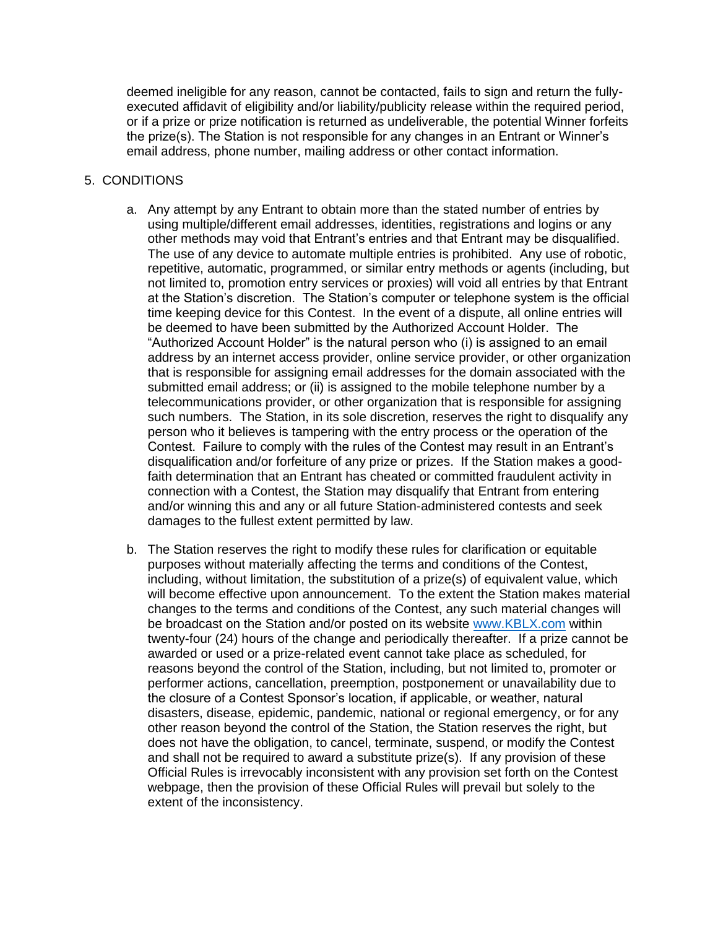deemed ineligible for any reason, cannot be contacted, fails to sign and return the fullyexecuted affidavit of eligibility and/or liability/publicity release within the required period, or if a prize or prize notification is returned as undeliverable, the potential Winner forfeits the prize(s). The Station is not responsible for any changes in an Entrant or Winner's email address, phone number, mailing address or other contact information.

## 5. CONDITIONS

- a. Any attempt by any Entrant to obtain more than the stated number of entries by using multiple/different email addresses, identities, registrations and logins or any other methods may void that Entrant's entries and that Entrant may be disqualified. The use of any device to automate multiple entries is prohibited. Any use of robotic, repetitive, automatic, programmed, or similar entry methods or agents (including, but not limited to, promotion entry services or proxies) will void all entries by that Entrant at the Station's discretion. The Station's computer or telephone system is the official time keeping device for this Contest. In the event of a dispute, all online entries will be deemed to have been submitted by the Authorized Account Holder. The "Authorized Account Holder" is the natural person who (i) is assigned to an email address by an internet access provider, online service provider, or other organization that is responsible for assigning email addresses for the domain associated with the submitted email address; or (ii) is assigned to the mobile telephone number by a telecommunications provider, or other organization that is responsible for assigning such numbers. The Station, in its sole discretion, reserves the right to disqualify any person who it believes is tampering with the entry process or the operation of the Contest. Failure to comply with the rules of the Contest may result in an Entrant's disqualification and/or forfeiture of any prize or prizes. If the Station makes a goodfaith determination that an Entrant has cheated or committed fraudulent activity in connection with a Contest, the Station may disqualify that Entrant from entering and/or winning this and any or all future Station-administered contests and seek damages to the fullest extent permitted by law.
- b. The Station reserves the right to modify these rules for clarification or equitable purposes without materially affecting the terms and conditions of the Contest, including, without limitation, the substitution of a prize(s) of equivalent value, which will become effective upon announcement. To the extent the Station makes material changes to the terms and conditions of the Contest, any such material changes will be broadcast on the Station and/or posted on its website [www.KBLX.com](http://www.kblx.com/) within twenty-four (24) hours of the change and periodically thereafter. If a prize cannot be awarded or used or a prize-related event cannot take place as scheduled, for reasons beyond the control of the Station, including, but not limited to, promoter or performer actions, cancellation, preemption, postponement or unavailability due to the closure of a Contest Sponsor's location, if applicable, or weather, natural disasters, disease, epidemic, pandemic, national or regional emergency, or for any other reason beyond the control of the Station, the Station reserves the right, but does not have the obligation, to cancel, terminate, suspend, or modify the Contest and shall not be required to award a substitute prize(s). If any provision of these Official Rules is irrevocably inconsistent with any provision set forth on the Contest webpage, then the provision of these Official Rules will prevail but solely to the extent of the inconsistency.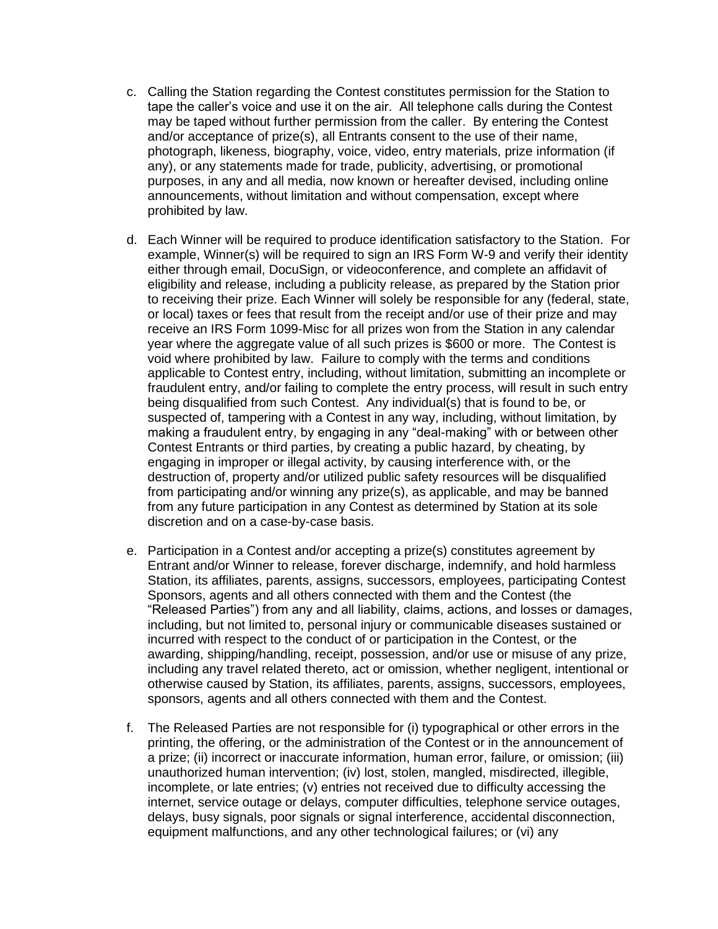- c. Calling the Station regarding the Contest constitutes permission for the Station to tape the caller's voice and use it on the air. All telephone calls during the Contest may be taped without further permission from the caller. By entering the Contest and/or acceptance of prize(s), all Entrants consent to the use of their name, photograph, likeness, biography, voice, video, entry materials, prize information (if any), or any statements made for trade, publicity, advertising, or promotional purposes, in any and all media, now known or hereafter devised, including online announcements, without limitation and without compensation, except where prohibited by law.
- d. Each Winner will be required to produce identification satisfactory to the Station. For example, Winner(s) will be required to sign an IRS Form W-9 and verify their identity either through email, DocuSign, or videoconference, and complete an affidavit of eligibility and release, including a publicity release, as prepared by the Station prior to receiving their prize. Each Winner will solely be responsible for any (federal, state, or local) taxes or fees that result from the receipt and/or use of their prize and may receive an IRS Form 1099-Misc for all prizes won from the Station in any calendar year where the aggregate value of all such prizes is \$600 or more. The Contest is void where prohibited by law. Failure to comply with the terms and conditions applicable to Contest entry, including, without limitation, submitting an incomplete or fraudulent entry, and/or failing to complete the entry process, will result in such entry being disqualified from such Contest. Any individual(s) that is found to be, or suspected of, tampering with a Contest in any way, including, without limitation, by making a fraudulent entry, by engaging in any "deal-making" with or between other Contest Entrants or third parties, by creating a public hazard, by cheating, by engaging in improper or illegal activity, by causing interference with, or the destruction of, property and/or utilized public safety resources will be disqualified from participating and/or winning any prize(s), as applicable, and may be banned from any future participation in any Contest as determined by Station at its sole discretion and on a case-by-case basis.
- e. Participation in a Contest and/or accepting a prize(s) constitutes agreement by Entrant and/or Winner to release, forever discharge, indemnify, and hold harmless Station, its affiliates, parents, assigns, successors, employees, participating Contest Sponsors, agents and all others connected with them and the Contest (the "Released Parties") from any and all liability, claims, actions, and losses or damages, including, but not limited to, personal injury or communicable diseases sustained or incurred with respect to the conduct of or participation in the Contest, or the awarding, shipping/handling, receipt, possession, and/or use or misuse of any prize, including any travel related thereto, act or omission, whether negligent, intentional or otherwise caused by Station, its affiliates, parents, assigns, successors, employees, sponsors, agents and all others connected with them and the Contest.
- f. The Released Parties are not responsible for (i) typographical or other errors in the printing, the offering, or the administration of the Contest or in the announcement of a prize; (ii) incorrect or inaccurate information, human error, failure, or omission; (iii) unauthorized human intervention; (iv) lost, stolen, mangled, misdirected, illegible, incomplete, or late entries; (v) entries not received due to difficulty accessing the internet, service outage or delays, computer difficulties, telephone service outages, delays, busy signals, poor signals or signal interference, accidental disconnection, equipment malfunctions, and any other technological failures; or (vi) any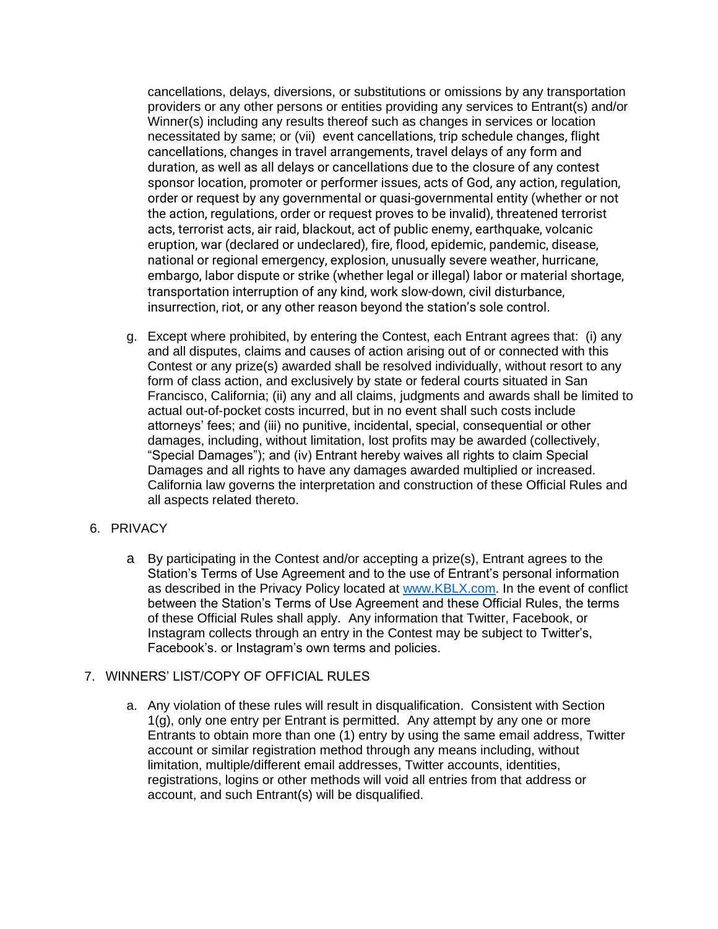cancellations, delays, diversions, or substitutions or omissions by any transportation providers or any other persons or entities providing any services to Entrant(s) and/or Winner(s) including any results thereof such as changes in services or location necessitated by same; or (vii) event cancellations, trip schedule changes, flight cancellations, changes in travel arrangements, travel delays of any form and duration, as well as all delays or cancellations due to the closure of any contest sponsor location, promoter or performer issues, acts of God, any action, regulation, order or request by any governmental or quasi-governmental entity (whether or not the action, regulations, order or request proves to be invalid), threatened terrorist acts, terrorist acts, air raid, blackout, act of public enemy, earthquake, volcanic eruption, war (declared or undeclared), fire, flood, epidemic, pandemic, disease, national or regional emergency, explosion, unusually severe weather, hurricane, embargo, labor dispute or strike (whether legal or illegal) labor or material shortage, transportation interruption of any kind, work slow-down, civil disturbance, insurrection, riot, or any other reason beyond the station's sole control.

g. Except where prohibited, by entering the Contest, each Entrant agrees that: (i) any and all disputes, claims and causes of action arising out of or connected with this Contest or any prize(s) awarded shall be resolved individually, without resort to any form of class action, and exclusively by state or federal courts situated in San Francisco, California; (ii) any and all claims, judgments and awards shall be limited to actual out-of-pocket costs incurred, but in no event shall such costs include attorneys' fees; and (iii) no punitive, incidental, special, consequential or other damages, including, without limitation, lost profits may be awarded (collectively, "Special Damages"); and (iv) Entrant hereby waives all rights to claim Special Damages and all rights to have any damages awarded multiplied or increased. California law governs the interpretation and construction of these Official Rules and all aspects related thereto.

# 6. PRIVACY

a By participating in the Contest and/or accepting a prize(s), Entrant agrees to the Station's Terms of Use Agreement and to the use of Entrant's personal information as described in the Privacy Policy located at [www.KBLX.com.](http://www.kblx.com/) In the event of conflict between the Station's Terms of Use Agreement and these Official Rules, the terms of these Official Rules shall apply. Any information that Twitter, Facebook, or Instagram collects through an entry in the Contest may be subject to Twitter's, Facebook's. or Instagram's own terms and policies.

# 7. WINNERS' LIST/COPY OF OFFICIAL RULES

a. Any violation of these rules will result in disqualification. Consistent with Section 1(g), only one entry per Entrant is permitted. Any attempt by any one or more Entrants to obtain more than one (1) entry by using the same email address, Twitter account or similar registration method through any means including, without limitation, multiple/different email addresses, Twitter accounts, identities, registrations, logins or other methods will void all entries from that address or account, and such Entrant(s) will be disqualified.